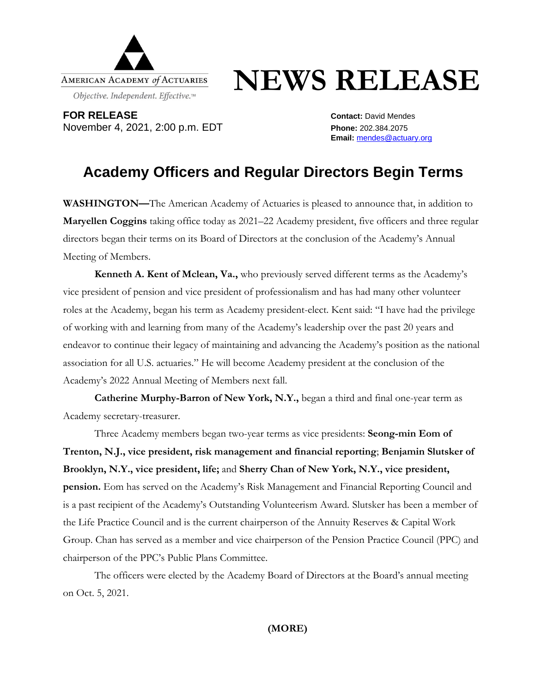

## **NEWS RELEASE**

**FOR RELEASE Contact:** David Mendes November 4, 2021, 2:00 p.m. EDT **Phone:** 202.384.2075

**Email:** [mendes@actuary.org](mailto:mendes@actuary.org)

## **Academy Officers and Regular Directors Begin Terms**

**WASHINGTON—**The American Academy of Actuaries is pleased to announce that, in addition to **Maryellen Coggins** taking office today as 2021–22 Academy president, five officers and three regular directors began their terms on its Board of Directors at the conclusion of the Academy's Annual Meeting of Members.

**Kenneth A. Kent of Mclean, Va.,** who previously served different terms as the Academy's vice president of pension and vice president of professionalism and has had many other volunteer roles at the Academy, began his term as Academy president-elect. Kent said: "I have had the privilege of working with and learning from many of the Academy's leadership over the past 20 years and endeavor to continue their legacy of maintaining and advancing the Academy's position as the national association for all U.S. actuaries." He will become Academy president at the conclusion of the Academy's 2022 Annual Meeting of Members next fall.

**Catherine Murphy-Barron of New York, N.Y.,** began a third and final one-year term as Academy secretary-treasurer.

Three Academy members began two-year terms as vice presidents: **Seong-min Eom of Trenton, N.J., vice president, risk management and financial reporting**; **Benjamin Slutsker of Brooklyn, N.Y., vice president, life;** and **Sherry Chan of New York, N.Y., vice president, pension.** Eom has served on the Academy's Risk Management and Financial Reporting Council and is a past recipient of the Academy's Outstanding Volunteerism Award. Slutsker has been a member of the Life Practice Council and is the current chairperson of the Annuity Reserves & Capital Work Group. Chan has served as a member and vice chairperson of the Pension Practice Council (PPC) and chairperson of the PPC's Public Plans Committee.

The officers were elected by the Academy Board of Directors at the Board's annual meeting on Oct. 5, 2021.

**(MORE)**